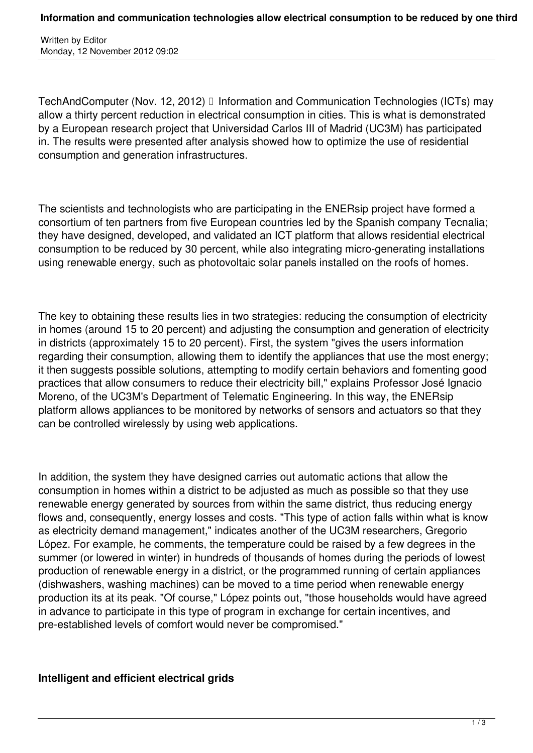Written by Editor Monday, 12 November 2012 09:02

TechAndComputer (Nov. 12, 2012) I Information and Communication Technologies (ICTs) may allow a thirty percent reduction in electrical consumption in cities. This is what is demonstrated by a European research project that Universidad Carlos III of Madrid (UC3M) has participated in. The results were presented after analysis showed how to optimize the use of residential consumption and generation infrastructures.

The scientists and technologists who are participating in the ENERsip project have formed a consortium of ten partners from five European countries led by the Spanish company Tecnalia; they have designed, developed, and validated an ICT platform that allows residential electrical consumption to be reduced by 30 percent, while also integrating micro-generating installations using renewable energy, such as photovoltaic solar panels installed on the roofs of homes.

The key to obtaining these results lies in two strategies: reducing the consumption of electricity in homes (around 15 to 20 percent) and adjusting the consumption and generation of electricity in districts (approximately 15 to 20 percent). First, the system "gives the users information regarding their consumption, allowing them to identify the appliances that use the most energy; it then suggests possible solutions, attempting to modify certain behaviors and fomenting good practices that allow consumers to reduce their electricity bill," explains Professor José Ignacio Moreno, of the UC3M's Department of Telematic Engineering. In this way, the ENERsip platform allows appliances to be monitored by networks of sensors and actuators so that they can be controlled wirelessly by using web applications.

In addition, the system they have designed carries out automatic actions that allow the consumption in homes within a district to be adjusted as much as possible so that they use renewable energy generated by sources from within the same district, thus reducing energy flows and, consequently, energy losses and costs. "This type of action falls within what is know as electricity demand management," indicates another of the UC3M researchers, Gregorio López. For example, he comments, the temperature could be raised by a few degrees in the summer (or lowered in winter) in hundreds of thousands of homes during the periods of lowest production of renewable energy in a district, or the programmed running of certain appliances (dishwashers, washing machines) can be moved to a time period when renewable energy production its at its peak. "Of course," López points out, "those households would have agreed in advance to participate in this type of program in exchange for certain incentives, and pre-established levels of comfort would never be compromised."

## **Intelligent and efficient electrical grids**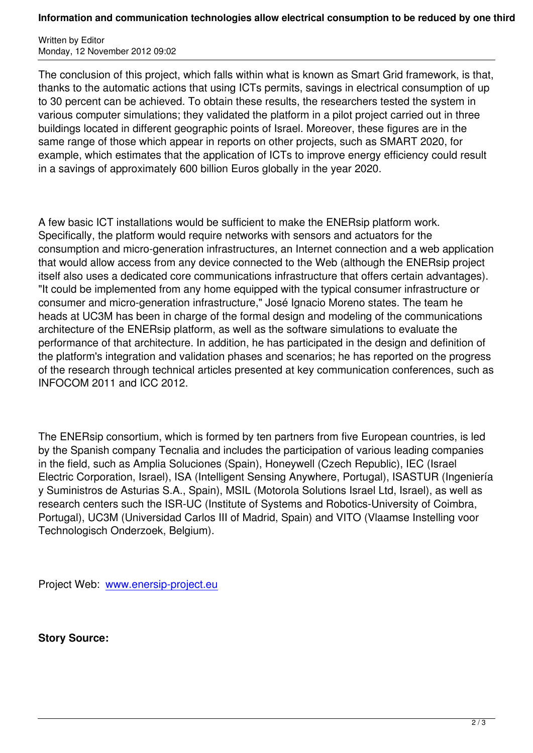The conclusion of this project, which falls within what is known as Smart Grid framework, is that, thanks to the automatic actions that using ICTs permits, savings in electrical consumption of up to 30 percent can be achieved. To obtain these results, the researchers tested the system in various computer simulations; they validated the platform in a pilot project carried out in three buildings located in different geographic points of Israel. Moreover, these figures are in the same range of those which appear in reports on other projects, such as SMART 2020, for example, which estimates that the application of ICTs to improve energy efficiency could result in a savings of approximately 600 billion Euros globally in the year 2020.

A few basic ICT installations would be sufficient to make the ENERsip platform work. Specifically, the platform would require networks with sensors and actuators for the consumption and micro-generation infrastructures, an Internet connection and a web application that would allow access from any device connected to the Web (although the ENERsip project itself also uses a dedicated core communications infrastructure that offers certain advantages). "It could be implemented from any home equipped with the typical consumer infrastructure or consumer and micro-generation infrastructure," José Ignacio Moreno states. The team he heads at UC3M has been in charge of the formal design and modeling of the communications architecture of the ENERsip platform, as well as the software simulations to evaluate the performance of that architecture. In addition, he has participated in the design and definition of the platform's integration and validation phases and scenarios; he has reported on the progress of the research through technical articles presented at key communication conferences, such as INFOCOM 2011 and ICC 2012.

The ENERsip consortium, which is formed by ten partners from five European countries, is led by the Spanish company Tecnalia and includes the participation of various leading companies in the field, such as Amplia Soluciones (Spain), Honeywell (Czech Republic), IEC (Israel Electric Corporation, Israel), ISA (Intelligent Sensing Anywhere, Portugal), ISASTUR (Ingeniería y Suministros de Asturias S.A., Spain), MSIL (Motorola Solutions Israel Ltd, Israel), as well as research centers such the ISR-UC (Institute of Systems and Robotics-University of Coimbra, Portugal), UC3M (Universidad Carlos III of Madrid, Spain) and VITO (Vlaamse Instelling voor Technologisch Onderzoek, Belgium).

Project Web: www.enersip-project.eu

**Story Source[:](http://www.enersip-project.eu)**